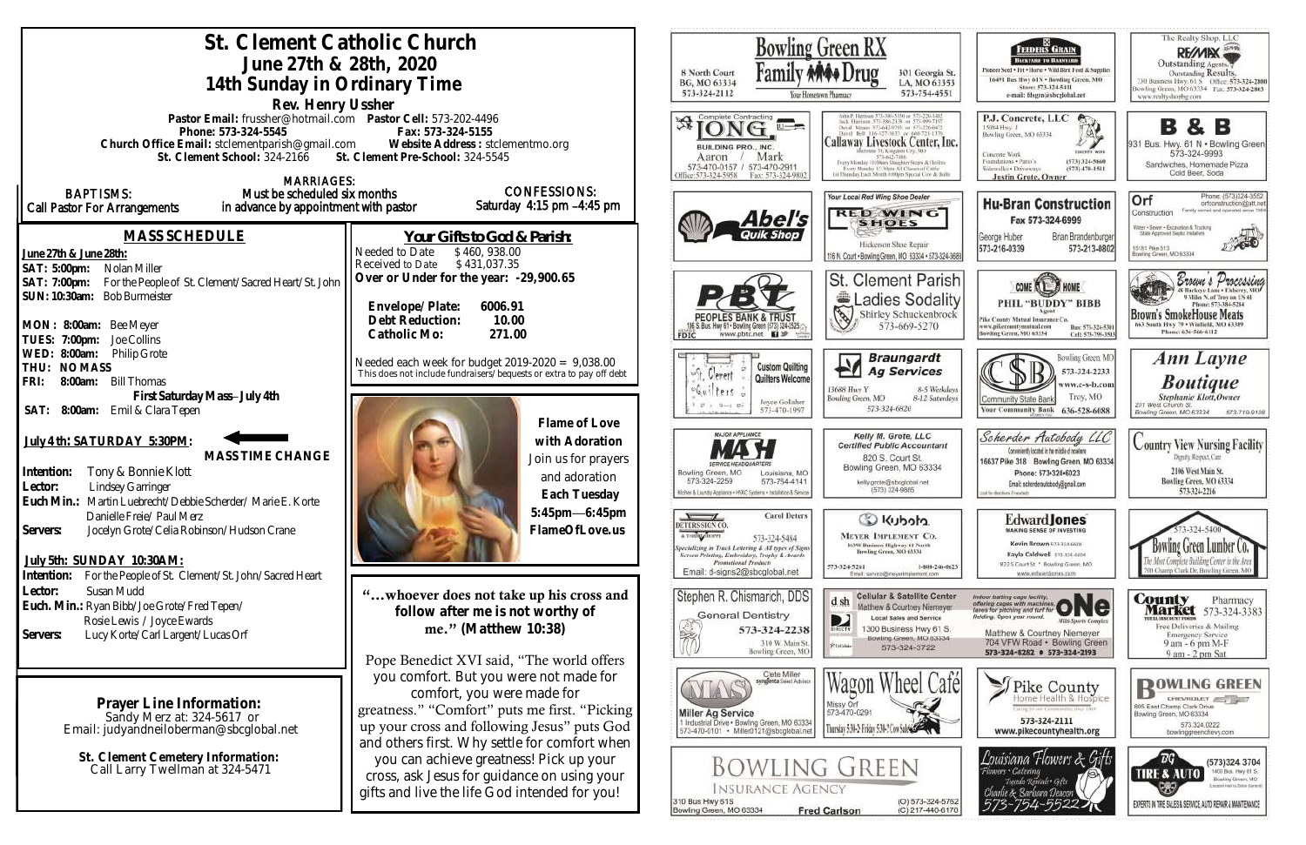